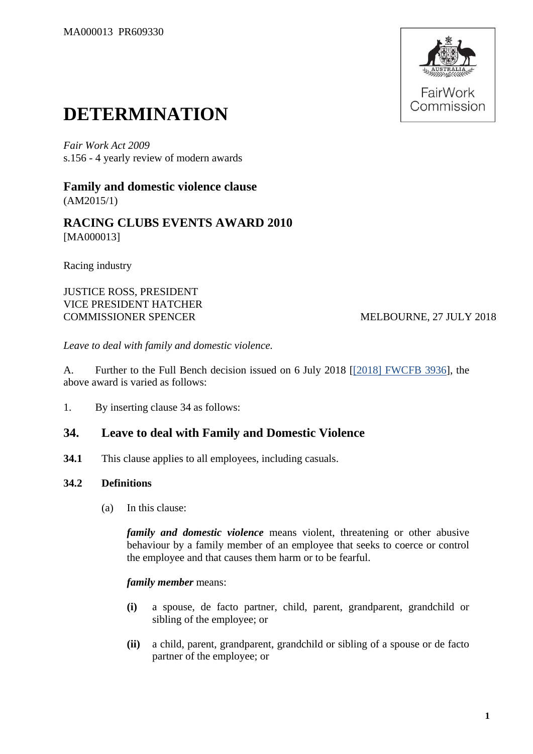

# **DETERMINATION**

*Fair Work Act 2009*  s.156 - 4 yearly review of modern awards

**Family and domestic violence clause** (AM2015/1)

**RACING CLUBS EVENTS AWARD 2010** [MA000013]

Racing industry

JUSTICE ROSS, PRESIDENT VICE PRESIDENT HATCHER COMMISSIONER SPENCER MELBOURNE, 27 JULY 2018

*Leave to deal with family and domestic violence.*

A. Further to the Full Bench decision issued on 6 July 2018 [\[\[2018\] FWCFB 3936\]](https://www.fwc.gov.au/documents/decisionssigned/html/2018fwcfb3936.htm), the above award is varied as follows:

1. By inserting clause 34 as follows:

## **34. Leave to deal with Family and Domestic Violence**

**34.1** This clause applies to all employees, including casuals.

## **34.2 Definitions**

(a) In this clause:

*family and domestic violence* means violent, threatening or other abusive behaviour by a family member of an employee that seeks to coerce or control the employee and that causes them harm or to be fearful.

#### *family member* means:

- **(i)** a spouse, de facto partner, child, parent, grandparent, grandchild or sibling of the employee; or
- **(ii)** a child, parent, grandparent, grandchild or sibling of a spouse or de facto partner of the employee; or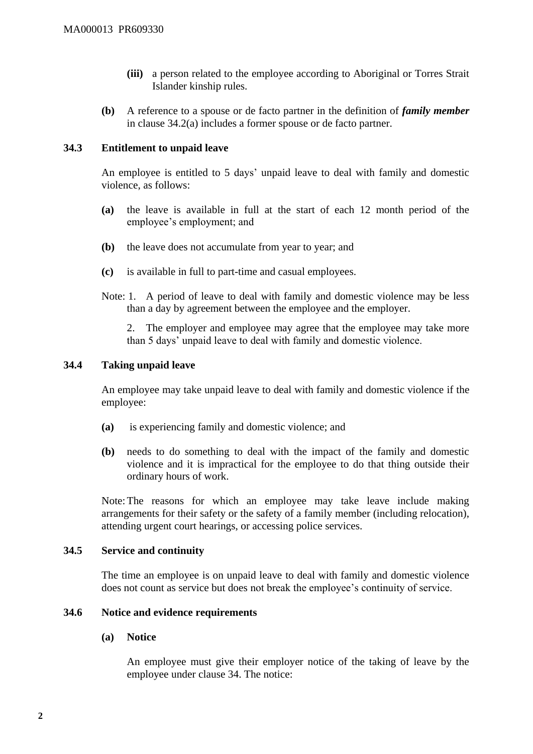- **(iii)** a person related to the employee according to Aboriginal or Torres Strait Islander kinship rules.
- **(b)** A reference to a spouse or de facto partner in the definition of *family member* in clause 34.2(a) includes a former spouse or de facto partner.

## **34.3 Entitlement to unpaid leave**

An employee is entitled to 5 days' unpaid leave to deal with family and domestic violence, as follows:

- **(a)** the leave is available in full at the start of each 12 month period of the employee's employment; and
- **(b)** the leave does not accumulate from year to year; and
- **(c)** is available in full to part-time and casual employees.
- Note: 1. A period of leave to deal with family and domestic violence may be less than a day by agreement between the employee and the employer.

2. The employer and employee may agree that the employee may take more than 5 days' unpaid leave to deal with family and domestic violence.

### **34.4 Taking unpaid leave**

An employee may take unpaid leave to deal with family and domestic violence if the employee:

- **(a)** is experiencing family and domestic violence; and
- **(b)** needs to do something to deal with the impact of the family and domestic violence and it is impractical for the employee to do that thing outside their ordinary hours of work.

Note:The reasons for which an employee may take leave include making arrangements for their safety or the safety of a family member (including relocation), attending urgent court hearings, or accessing police services.

#### **34.5 Service and continuity**

The time an employee is on unpaid leave to deal with family and domestic violence does not count as service but does not break the employee's continuity of service.

## **34.6 Notice and evidence requirements**

#### **(a) Notice**

An employee must give their employer notice of the taking of leave by the employee under clause 34. The notice: